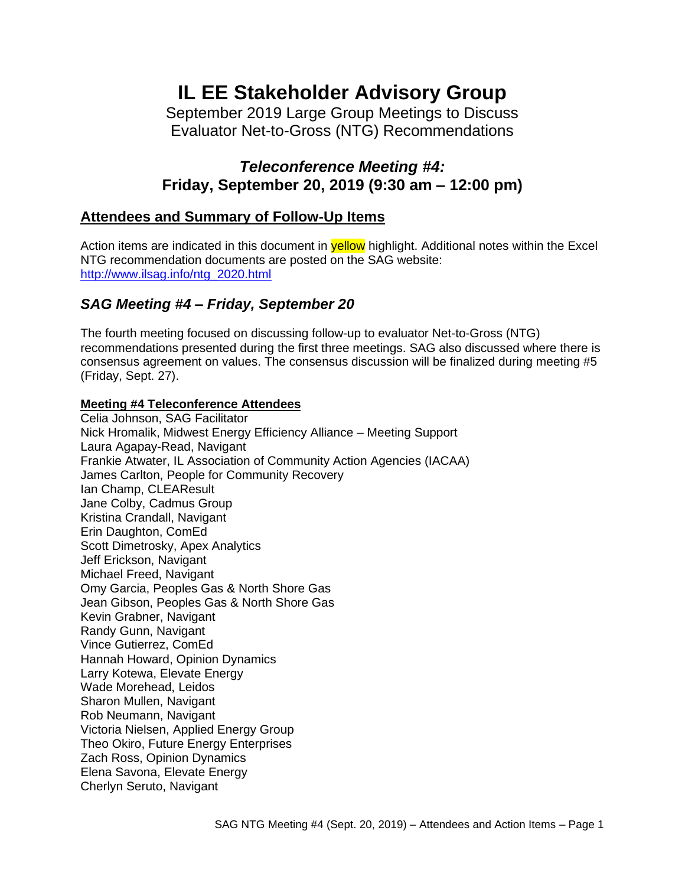# **IL EE Stakeholder Advisory Group**

September 2019 Large Group Meetings to Discuss Evaluator Net-to-Gross (NTG) Recommendations

## *Teleconference Meeting #4:* **Friday, September 20, 2019 (9:30 am – 12:00 pm)**

## **Attendees and Summary of Follow-Up Items**

Action items are indicated in this document in **yellow** highlight. Additional notes within the Excel NTG recommendation documents are posted on the SAG website: [http://www.ilsag.info/ntg\\_2020.html](http://www.ilsag.info/ntg_2020.html)

## *SAG Meeting #4 – Friday, September 20*

The fourth meeting focused on discussing follow-up to evaluator Net-to-Gross (NTG) recommendations presented during the first three meetings. SAG also discussed where there is consensus agreement on values. The consensus discussion will be finalized during meeting #5 (Friday, Sept. 27).

#### **Meeting #4 Teleconference Attendees**

Celia Johnson, SAG Facilitator Nick Hromalik, Midwest Energy Efficiency Alliance – Meeting Support Laura Agapay-Read, Navigant Frankie Atwater, IL Association of Community Action Agencies (IACAA) James Carlton, People for Community Recovery Ian Champ, CLEAResult Jane Colby, Cadmus Group Kristina Crandall, Navigant Erin Daughton, ComEd Scott Dimetrosky, Apex Analytics Jeff Erickson, Navigant Michael Freed, Navigant Omy Garcia, Peoples Gas & North Shore Gas Jean Gibson, Peoples Gas & North Shore Gas Kevin Grabner, Navigant Randy Gunn, Navigant Vince Gutierrez, ComEd Hannah Howard, Opinion Dynamics Larry Kotewa, Elevate Energy Wade Morehead, Leidos Sharon Mullen, Navigant Rob Neumann, Navigant Victoria Nielsen, Applied Energy Group Theo Okiro, Future Energy Enterprises Zach Ross, Opinion Dynamics Elena Savona, Elevate Energy Cherlyn Seruto, Navigant